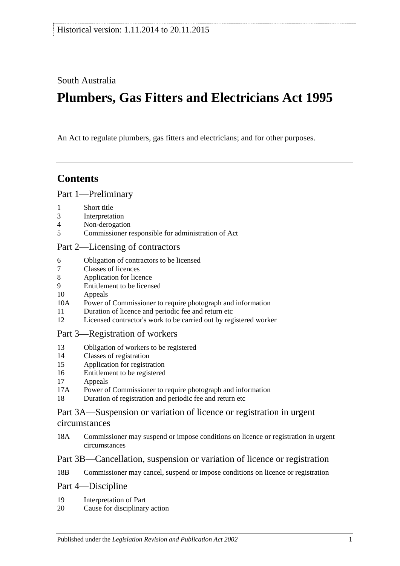South Australia

# **Plumbers, Gas Fitters and Electricians Act 1995**

An Act to regulate plumbers, gas fitters and electricians; and for other purposes.

# **Contents**

#### [Part 1—Preliminary](#page-1-0)

- 1 [Short title](#page-1-1)
- 3 [Interpretation](#page-1-2)
- 4 [Non-derogation](#page-3-0)
- 5 [Commissioner responsible for administration of Act](#page-3-1)

#### [Part 2—Licensing of contractors](#page-3-2)

- 6 [Obligation of contractors to be licensed](#page-3-3)<br>7 Classes of licences
- [Classes of licences](#page-4-0)
- 8 [Application for licence](#page-4-1)
- 9 [Entitlement to be licensed](#page-5-0)
- 10 [Appeals](#page-7-0)
- 10A [Power of Commissioner to require photograph and information](#page-7-1)
- 11 [Duration of licence and periodic fee and return etc](#page-7-2)
- 12 [Licensed contractor's work to be carried out by registered worker](#page-8-0)

#### [Part 3—Registration of workers](#page-8-1)

- 13 [Obligation of workers to be registered](#page-8-2)
- 14 [Classes of registration](#page-8-3)
- 15 [Application for registration](#page-9-0)
- 16 [Entitlement to be registered](#page-9-1)
- 17 [Appeals](#page-10-0)
- 17A [Power of Commissioner to require photograph and information](#page-10-1)
- 18 [Duration of registration and periodic fee and return etc](#page-10-2)

### [Part 3A—Suspension or variation of licence or registration in urgent](#page-11-0)  [circumstances](#page-11-0)

18A [Commissioner may suspend or impose conditions on licence or registration in urgent](#page-11-1)  [circumstances](#page-11-1)

#### [Part 3B—Cancellation, suspension or variation of licence or registration](#page-12-0)

18B [Commissioner may cancel, suspend or impose conditions on licence or registration](#page-12-1)

# [Part 4—Discipline](#page-13-0)

- 19 [Interpretation of Part](#page-13-1)
- 20 [Cause for disciplinary action](#page-13-2)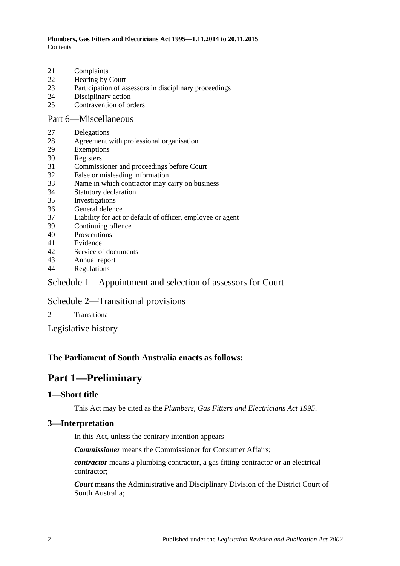- 21 [Complaints](#page-14-0)
- 22 [Hearing by Court](#page-14-1)
- 23 [Participation of assessors in disciplinary proceedings](#page-14-2)
- 24 [Disciplinary action](#page-14-3)
- 25 [Contravention of orders](#page-15-0)

### [Part 6—Miscellaneous](#page-15-1)

- 27 [Delegations](#page-15-2)
- 28 [Agreement with professional organisation](#page-16-0)
- 29 [Exemptions](#page-16-1)
- 30 [Registers](#page-16-2)
- 31 [Commissioner and proceedings before Court](#page-17-0)
- 32 [False or misleading information](#page-17-1)
- 33 [Name in which contractor may carry on business](#page-17-2)
- 34 [Statutory declaration](#page-18-0)
- 35 [Investigations](#page-18-1)
- 36 [General defence](#page-18-2)
- 37 [Liability for act or default of officer, employee or agent](#page-18-3)
- 39 [Continuing offence](#page-18-4)
- 40 [Prosecutions](#page-18-5)
- 41 [Evidence](#page-19-0)
- 42 [Service of documents](#page-19-1)
- 43 [Annual report](#page-19-2)
- 44 [Regulations](#page-20-0)

# [Schedule 1—Appointment and selection of assessors for Court](#page-20-1)

#### [Schedule 2—Transitional provisions](#page-21-0)

- 2 [Transitional](#page-21-1)
- [Legislative history](#page-23-0)

### <span id="page-1-0"></span>**The Parliament of South Australia enacts as follows:**

# **Part 1—Preliminary**

#### <span id="page-1-1"></span>**1—Short title**

This Act may be cited as the *Plumbers, Gas Fitters and Electricians Act 1995*.

#### <span id="page-1-2"></span>**3—Interpretation**

In this Act, unless the contrary intention appears—

*Commissioner* means the Commissioner for Consumer Affairs;

*contractor* means a plumbing contractor, a gas fitting contractor or an electrical contractor;

*Court* means the Administrative and Disciplinary Division of the District Court of South Australia;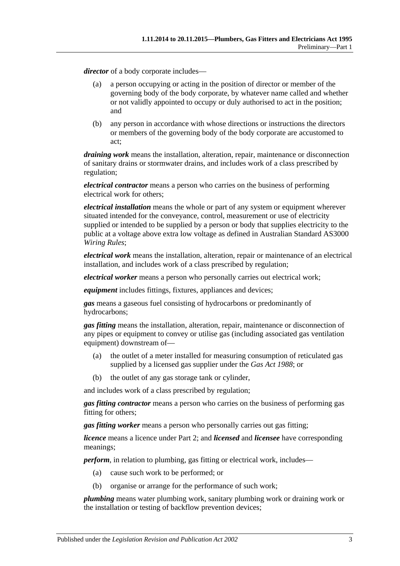*director* of a body corporate includes—

- (a) a person occupying or acting in the position of director or member of the governing body of the body corporate, by whatever name called and whether or not validly appointed to occupy or duly authorised to act in the position; and
- (b) any person in accordance with whose directions or instructions the directors or members of the governing body of the body corporate are accustomed to act;

*draining work* means the installation, alteration, repair, maintenance or disconnection of sanitary drains or stormwater drains, and includes work of a class prescribed by regulation;

*electrical contractor* means a person who carries on the business of performing electrical work for others;

*electrical installation* means the whole or part of any system or equipment wherever situated intended for the conveyance, control, measurement or use of electricity supplied or intended to be supplied by a person or body that supplies electricity to the public at a voltage above extra low voltage as defined in Australian Standard AS3000 *Wiring Rules*;

*electrical work* means the installation, alteration, repair or maintenance of an electrical installation, and includes work of a class prescribed by regulation;

*electrical worker* means a person who personally carries out electrical work;

*equipment* includes fittings, fixtures, appliances and devices;

*gas* means a gaseous fuel consisting of hydrocarbons or predominantly of hydrocarbons;

*gas fitting* means the installation, alteration, repair, maintenance or disconnection of any pipes or equipment to convey or utilise gas (including associated gas ventilation equipment) downstream of—

- (a) the outlet of a meter installed for measuring consumption of reticulated gas supplied by a licensed gas supplier under the *[Gas Act](http://www.legislation.sa.gov.au/index.aspx?action=legref&type=act&legtitle=Gas%20Act%201988) 1988*; or
- (b) the outlet of any gas storage tank or cylinder,

and includes work of a class prescribed by regulation;

*gas fitting contractor* means a person who carries on the business of performing gas fitting for others;

*gas fitting worker* means a person who personally carries out gas fitting;

*licence* means a licence under [Part 2;](#page-3-2) and *licensed* and *licensee* have corresponding meanings;

*perform*, in relation to plumbing, gas fitting or electrical work, includes—

- (a) cause such work to be performed; or
- (b) organise or arrange for the performance of such work;

*plumbing* means water plumbing work, sanitary plumbing work or draining work or the installation or testing of backflow prevention devices;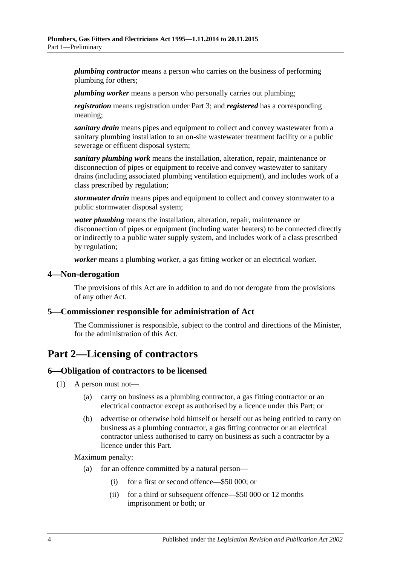*plumbing contractor* means a person who carries on the business of performing plumbing for others;

*plumbing worker* means a person who personally carries out plumbing;

*registration* means registration under [Part 3;](#page-8-1) and *registered* has a corresponding meaning;

*sanitary drain* means pipes and equipment to collect and convey wastewater from a sanitary plumbing installation to an on-site wastewater treatment facility or a public sewerage or effluent disposal system;

*sanitary plumbing work* means the installation, alteration, repair, maintenance or disconnection of pipes or equipment to receive and convey wastewater to sanitary drains (including associated plumbing ventilation equipment), and includes work of a class prescribed by regulation;

*stormwater drain* means pipes and equipment to collect and convey stormwater to a public stormwater disposal system;

*water plumbing* means the installation, alteration, repair, maintenance or disconnection of pipes or equipment (including water heaters) to be connected directly or indirectly to a public water supply system, and includes work of a class prescribed by regulation;

*worker* means a plumbing worker, a gas fitting worker or an electrical worker.

#### <span id="page-3-0"></span>**4—Non-derogation**

The provisions of this Act are in addition to and do not derogate from the provisions of any other Act.

#### <span id="page-3-1"></span>**5—Commissioner responsible for administration of Act**

The Commissioner is responsible, subject to the control and directions of the Minister, for the administration of this Act.

# <span id="page-3-2"></span>**Part 2—Licensing of contractors**

#### <span id="page-3-3"></span>**6—Obligation of contractors to be licensed**

- (1) A person must not—
	- (a) carry on business as a plumbing contractor, a gas fitting contractor or an electrical contractor except as authorised by a licence under this Part; or
	- (b) advertise or otherwise hold himself or herself out as being entitled to carry on business as a plumbing contractor, a gas fitting contractor or an electrical contractor unless authorised to carry on business as such a contractor by a licence under this Part.

Maximum penalty:

- (a) for an offence committed by a natural person—
	- (i) for a first or second offence—\$50 000; or
	- (ii) for a third or subsequent offence—\$50 000 or 12 months imprisonment or both; or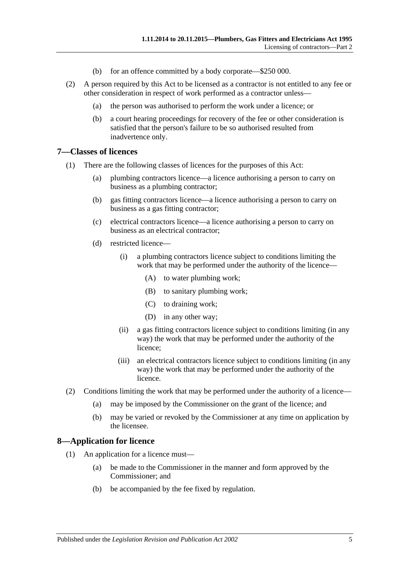- (b) for an offence committed by a body corporate—\$250 000.
- (2) A person required by this Act to be licensed as a contractor is not entitled to any fee or other consideration in respect of work performed as a contractor unless—
	- (a) the person was authorised to perform the work under a licence; or
	- (b) a court hearing proceedings for recovery of the fee or other consideration is satisfied that the person's failure to be so authorised resulted from inadvertence only.

#### <span id="page-4-0"></span>**7—Classes of licences**

- (1) There are the following classes of licences for the purposes of this Act:
	- (a) plumbing contractors licence—a licence authorising a person to carry on business as a plumbing contractor;
	- (b) gas fitting contractors licence—a licence authorising a person to carry on business as a gas fitting contractor;
	- (c) electrical contractors licence—a licence authorising a person to carry on business as an electrical contractor;
	- (d) restricted licence—
		- (i) a plumbing contractors licence subject to conditions limiting the work that may be performed under the authority of the licence—
			- (A) to water plumbing work;
			- (B) to sanitary plumbing work;
			- (C) to draining work;
			- (D) in any other way;
		- (ii) a gas fitting contractors licence subject to conditions limiting (in any way) the work that may be performed under the authority of the licence;
		- (iii) an electrical contractors licence subject to conditions limiting (in any way) the work that may be performed under the authority of the licence.
- (2) Conditions limiting the work that may be performed under the authority of a licence—
	- (a) may be imposed by the Commissioner on the grant of the licence; and
	- (b) may be varied or revoked by the Commissioner at any time on application by the licensee.

#### <span id="page-4-1"></span>**8—Application for licence**

- (1) An application for a licence must—
	- (a) be made to the Commissioner in the manner and form approved by the Commissioner; and
	- (b) be accompanied by the fee fixed by regulation.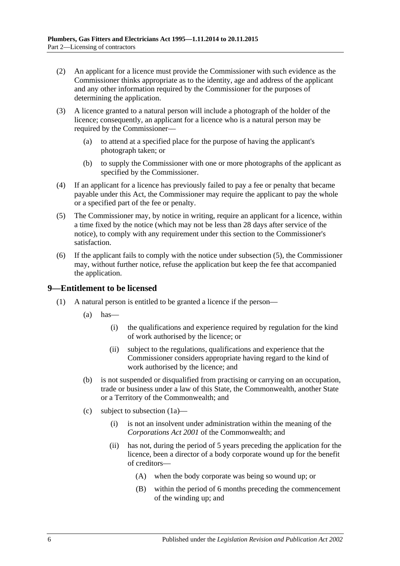- (2) An applicant for a licence must provide the Commissioner with such evidence as the Commissioner thinks appropriate as to the identity, age and address of the applicant and any other information required by the Commissioner for the purposes of determining the application.
- (3) A licence granted to a natural person will include a photograph of the holder of the licence; consequently, an applicant for a licence who is a natural person may be required by the Commissioner—
	- (a) to attend at a specified place for the purpose of having the applicant's photograph taken; or
	- (b) to supply the Commissioner with one or more photographs of the applicant as specified by the Commissioner.
- (4) If an applicant for a licence has previously failed to pay a fee or penalty that became payable under this Act, the Commissioner may require the applicant to pay the whole or a specified part of the fee or penalty.
- <span id="page-5-1"></span>(5) The Commissioner may, by notice in writing, require an applicant for a licence, within a time fixed by the notice (which may not be less than 28 days after service of the notice), to comply with any requirement under this section to the Commissioner's satisfaction.
- (6) If the applicant fails to comply with the notice under [subsection](#page-5-1) (5), the Commissioner may, without further notice, refuse the application but keep the fee that accompanied the application.

#### <span id="page-5-0"></span>**9—Entitlement to be licensed**

- <span id="page-5-2"></span>(1) A natural person is entitled to be granted a licence if the person—
	- $(a)$  has
		- (i) the qualifications and experience required by regulation for the kind of work authorised by the licence; or
		- (ii) subject to the regulations, qualifications and experience that the Commissioner considers appropriate having regard to the kind of work authorised by the licence; and
	- (b) is not suspended or disqualified from practising or carrying on an occupation, trade or business under a law of this State, the Commonwealth, another State or a Territory of the Commonwealth; and
	- (c) subject to [subsection](#page-6-0) (1a)—
		- (i) is not an insolvent under administration within the meaning of the *Corporations Act 2001* of the Commonwealth; and
		- (ii) has not, during the period of 5 years preceding the application for the licence, been a director of a body corporate wound up for the benefit of creditors—
			- (A) when the body corporate was being so wound up; or
			- (B) within the period of 6 months preceding the commencement of the winding up; and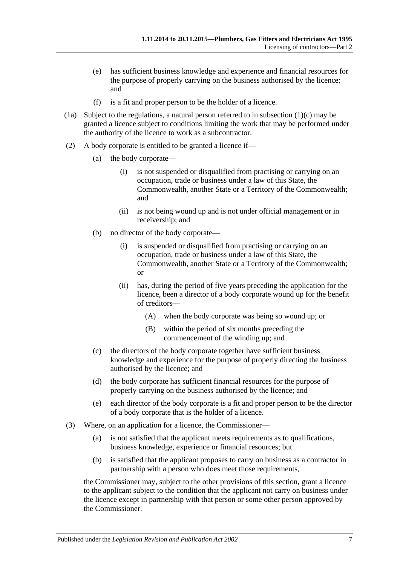- (e) has sufficient business knowledge and experience and financial resources for the purpose of properly carrying on the business authorised by the licence; and
- (f) is a fit and proper person to be the holder of a licence.
- <span id="page-6-0"></span>(1a) Subject to the regulations, a natural person referred to in [subsection](#page-5-2)  $(1)(c)$  may be granted a licence subject to conditions limiting the work that may be performed under the authority of the licence to work as a subcontractor.
- (2) A body corporate is entitled to be granted a licence if—
	- (a) the body corporate—
		- (i) is not suspended or disqualified from practising or carrying on an occupation, trade or business under a law of this State, the Commonwealth, another State or a Territory of the Commonwealth; and
		- (ii) is not being wound up and is not under official management or in receivership; and
	- (b) no director of the body corporate—
		- (i) is suspended or disqualified from practising or carrying on an occupation, trade or business under a law of this State, the Commonwealth, another State or a Territory of the Commonwealth; or
		- (ii) has, during the period of five years preceding the application for the licence, been a director of a body corporate wound up for the benefit of creditors—
			- (A) when the body corporate was being so wound up; or
			- (B) within the period of six months preceding the commencement of the winding up; and
	- (c) the directors of the body corporate together have sufficient business knowledge and experience for the purpose of properly directing the business authorised by the licence; and
	- (d) the body corporate has sufficient financial resources for the purpose of properly carrying on the business authorised by the licence; and
	- (e) each director of the body corporate is a fit and proper person to be the director of a body corporate that is the holder of a licence.
- (3) Where, on an application for a licence, the Commissioner—
	- (a) is not satisfied that the applicant meets requirements as to qualifications, business knowledge, experience or financial resources; but
	- (b) is satisfied that the applicant proposes to carry on business as a contractor in partnership with a person who does meet those requirements,

the Commissioner may, subject to the other provisions of this section, grant a licence to the applicant subject to the condition that the applicant not carry on business under the licence except in partnership with that person or some other person approved by the Commissioner.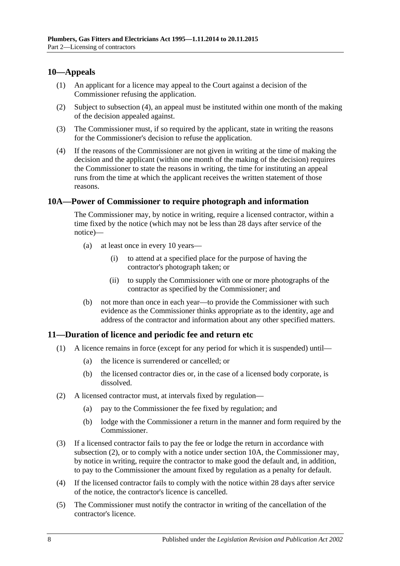### <span id="page-7-0"></span>**10—Appeals**

- (1) An applicant for a licence may appeal to the Court against a decision of the Commissioner refusing the application.
- (2) Subject to [subsection](#page-7-3) (4), an appeal must be instituted within one month of the making of the decision appealed against.
- (3) The Commissioner must, if so required by the applicant, state in writing the reasons for the Commissioner's decision to refuse the application.
- <span id="page-7-3"></span>(4) If the reasons of the Commissioner are not given in writing at the time of making the decision and the applicant (within one month of the making of the decision) requires the Commissioner to state the reasons in writing, the time for instituting an appeal runs from the time at which the applicant receives the written statement of those reasons.

#### <span id="page-7-1"></span>**10A—Power of Commissioner to require photograph and information**

The Commissioner may, by notice in writing, require a licensed contractor, within a time fixed by the notice (which may not be less than 28 days after service of the notice)—

- (a) at least once in every 10 years—
	- (i) to attend at a specified place for the purpose of having the contractor's photograph taken; or
	- (ii) to supply the Commissioner with one or more photographs of the contractor as specified by the Commissioner; and
- (b) not more than once in each year—to provide the Commissioner with such evidence as the Commissioner thinks appropriate as to the identity, age and address of the contractor and information about any other specified matters.

#### <span id="page-7-2"></span>**11—Duration of licence and periodic fee and return etc**

- (1) A licence remains in force (except for any period for which it is suspended) until—
	- (a) the licence is surrendered or cancelled; or
	- (b) the licensed contractor dies or, in the case of a licensed body corporate, is dissolved.
- <span id="page-7-4"></span>(2) A licensed contractor must, at intervals fixed by regulation—
	- (a) pay to the Commissioner the fee fixed by regulation; and
	- (b) lodge with the Commissioner a return in the manner and form required by the Commissioner.
- (3) If a licensed contractor fails to pay the fee or lodge the return in accordance with [subsection](#page-7-4) (2), or to comply with a notice under [section](#page-7-1) 10A, the Commissioner may, by notice in writing, require the contractor to make good the default and, in addition, to pay to the Commissioner the amount fixed by regulation as a penalty for default.
- (4) If the licensed contractor fails to comply with the notice within 28 days after service of the notice, the contractor's licence is cancelled.
- (5) The Commissioner must notify the contractor in writing of the cancellation of the contractor's licence.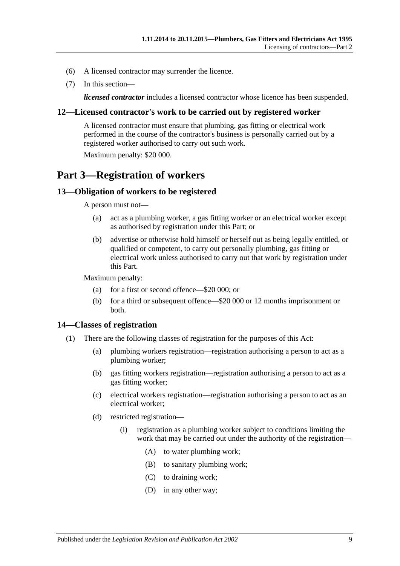- (6) A licensed contractor may surrender the licence.
- (7) In this section—

*licensed contractor* includes a licensed contractor whose licence has been suspended.

#### <span id="page-8-0"></span>**12—Licensed contractor's work to be carried out by registered worker**

A licensed contractor must ensure that plumbing, gas fitting or electrical work performed in the course of the contractor's business is personally carried out by a registered worker authorised to carry out such work. Maximum penalty: \$20 000.

# <span id="page-8-1"></span>**Part 3—Registration of workers**

#### <span id="page-8-2"></span>**13—Obligation of workers to be registered**

A person must not—

- (a) act as a plumbing worker, a gas fitting worker or an electrical worker except as authorised by registration under this Part; or
- (b) advertise or otherwise hold himself or herself out as being legally entitled, or qualified or competent, to carry out personally plumbing, gas fitting or electrical work unless authorised to carry out that work by registration under this Part.

Maximum penalty:

- (a) for a first or second offence—\$20 000; or
- (b) for a third or subsequent offence—\$20 000 or 12 months imprisonment or both.

#### <span id="page-8-3"></span>**14—Classes of registration**

- (1) There are the following classes of registration for the purposes of this Act:
	- (a) plumbing workers registration—registration authorising a person to act as a plumbing worker;
	- (b) gas fitting workers registration—registration authorising a person to act as a gas fitting worker;
	- (c) electrical workers registration—registration authorising a person to act as an electrical worker;
	- (d) restricted registration—
		- (i) registration as a plumbing worker subject to conditions limiting the work that may be carried out under the authority of the registration—
			- (A) to water plumbing work;
			- (B) to sanitary plumbing work;
			- (C) to draining work;
			- (D) in any other way;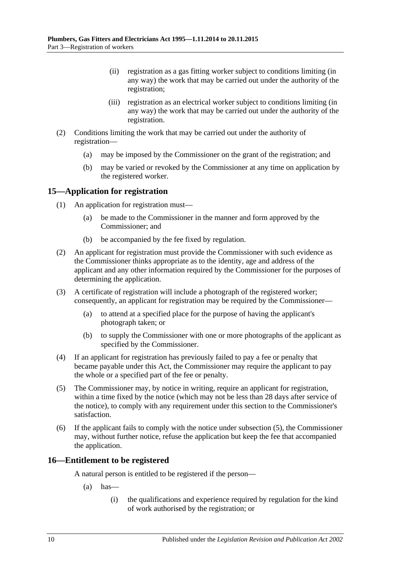- (ii) registration as a gas fitting worker subject to conditions limiting (in any way) the work that may be carried out under the authority of the registration;
- (iii) registration as an electrical worker subject to conditions limiting (in any way) the work that may be carried out under the authority of the registration.
- (2) Conditions limiting the work that may be carried out under the authority of registration—
	- (a) may be imposed by the Commissioner on the grant of the registration; and
	- (b) may be varied or revoked by the Commissioner at any time on application by the registered worker.

### <span id="page-9-0"></span>**15—Application for registration**

- (1) An application for registration must—
	- (a) be made to the Commissioner in the manner and form approved by the Commissioner; and
	- (b) be accompanied by the fee fixed by regulation.
- (2) An applicant for registration must provide the Commissioner with such evidence as the Commissioner thinks appropriate as to the identity, age and address of the applicant and any other information required by the Commissioner for the purposes of determining the application.
- (3) A certificate of registration will include a photograph of the registered worker; consequently, an applicant for registration may be required by the Commissioner—
	- (a) to attend at a specified place for the purpose of having the applicant's photograph taken; or
	- (b) to supply the Commissioner with one or more photographs of the applicant as specified by the Commissioner.
- (4) If an applicant for registration has previously failed to pay a fee or penalty that became payable under this Act, the Commissioner may require the applicant to pay the whole or a specified part of the fee or penalty.
- <span id="page-9-2"></span>(5) The Commissioner may, by notice in writing, require an applicant for registration, within a time fixed by the notice (which may not be less than 28 days after service of the notice), to comply with any requirement under this section to the Commissioner's satisfaction.
- (6) If the applicant fails to comply with the notice under [subsection](#page-9-2) (5), the Commissioner may, without further notice, refuse the application but keep the fee that accompanied the application.

#### <span id="page-9-1"></span>**16—Entitlement to be registered**

A natural person is entitled to be registered if the person—

- $(a)$  has
	- (i) the qualifications and experience required by regulation for the kind of work authorised by the registration; or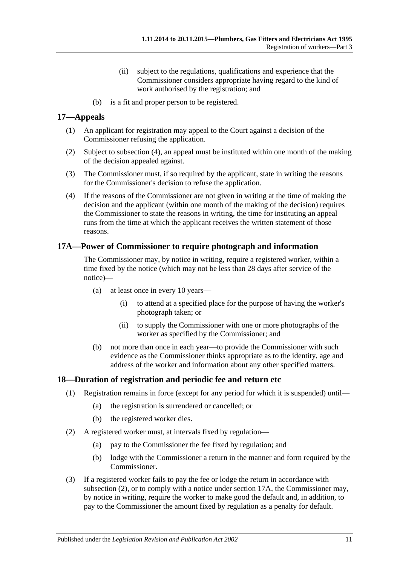- (ii) subject to the regulations, qualifications and experience that the Commissioner considers appropriate having regard to the kind of work authorised by the registration; and
- (b) is a fit and proper person to be registered.

### <span id="page-10-0"></span>**17—Appeals**

- (1) An applicant for registration may appeal to the Court against a decision of the Commissioner refusing the application.
- (2) Subject to [subsection](#page-10-3) (4), an appeal must be instituted within one month of the making of the decision appealed against.
- (3) The Commissioner must, if so required by the applicant, state in writing the reasons for the Commissioner's decision to refuse the application.
- <span id="page-10-3"></span>(4) If the reasons of the Commissioner are not given in writing at the time of making the decision and the applicant (within one month of the making of the decision) requires the Commissioner to state the reasons in writing, the time for instituting an appeal runs from the time at which the applicant receives the written statement of those reasons.

### <span id="page-10-1"></span>**17A—Power of Commissioner to require photograph and information**

The Commissioner may, by notice in writing, require a registered worker, within a time fixed by the notice (which may not be less than 28 days after service of the notice)—

- (a) at least once in every 10 years—
	- (i) to attend at a specified place for the purpose of having the worker's photograph taken; or
	- (ii) to supply the Commissioner with one or more photographs of the worker as specified by the Commissioner; and
- (b) not more than once in each year—to provide the Commissioner with such evidence as the Commissioner thinks appropriate as to the identity, age and address of the worker and information about any other specified matters.

#### <span id="page-10-2"></span>**18—Duration of registration and periodic fee and return etc**

- (1) Registration remains in force (except for any period for which it is suspended) until—
	- (a) the registration is surrendered or cancelled; or
	- (b) the registered worker dies.
- <span id="page-10-4"></span>(2) A registered worker must, at intervals fixed by regulation—
	- (a) pay to the Commissioner the fee fixed by regulation; and
	- (b) lodge with the Commissioner a return in the manner and form required by the Commissioner.
- (3) If a registered worker fails to pay the fee or lodge the return in accordance with [subsection](#page-10-4) (2), or to comply with a notice under [section](#page-10-1) 17A, the Commissioner may, by notice in writing, require the worker to make good the default and, in addition, to pay to the Commissioner the amount fixed by regulation as a penalty for default.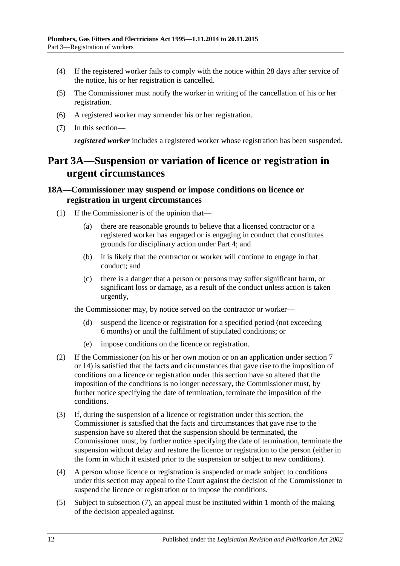- (4) If the registered worker fails to comply with the notice within 28 days after service of the notice, his or her registration is cancelled.
- (5) The Commissioner must notify the worker in writing of the cancellation of his or her registration.
- (6) A registered worker may surrender his or her registration.
- (7) In this section—

*registered worker* includes a registered worker whose registration has been suspended.

# <span id="page-11-0"></span>**Part 3A—Suspension or variation of licence or registration in urgent circumstances**

#### <span id="page-11-1"></span>**18A—Commissioner may suspend or impose conditions on licence or registration in urgent circumstances**

- (1) If the Commissioner is of the opinion that—
	- (a) there are reasonable grounds to believe that a licensed contractor or a registered worker has engaged or is engaging in conduct that constitutes grounds for disciplinary action under Part 4; and
	- (b) it is likely that the contractor or worker will continue to engage in that conduct; and
	- (c) there is a danger that a person or persons may suffer significant harm, or significant loss or damage, as a result of the conduct unless action is taken urgently,

the Commissioner may, by notice served on the contractor or worker—

- (d) suspend the licence or registration for a specified period (not exceeding 6 months) or until the fulfilment of stipulated conditions; or
- (e) impose conditions on the licence or registration.
- (2) If the Commissioner (on his or her own motion or on an application under section 7 or 14) is satisfied that the facts and circumstances that gave rise to the imposition of conditions on a licence or registration under this section have so altered that the imposition of the conditions is no longer necessary, the Commissioner must, by further notice specifying the date of termination, terminate the imposition of the conditions.
- (3) If, during the suspension of a licence or registration under this section, the Commissioner is satisfied that the facts and circumstances that gave rise to the suspension have so altered that the suspension should be terminated, the Commissioner must, by further notice specifying the date of termination, terminate the suspension without delay and restore the licence or registration to the person (either in the form in which it existed prior to the suspension or subject to new conditions).
- (4) A person whose licence or registration is suspended or made subject to conditions under this section may appeal to the Court against the decision of the Commissioner to suspend the licence or registration or to impose the conditions.
- (5) Subject to [subsection](#page-12-2) (7), an appeal must be instituted within 1 month of the making of the decision appealed against.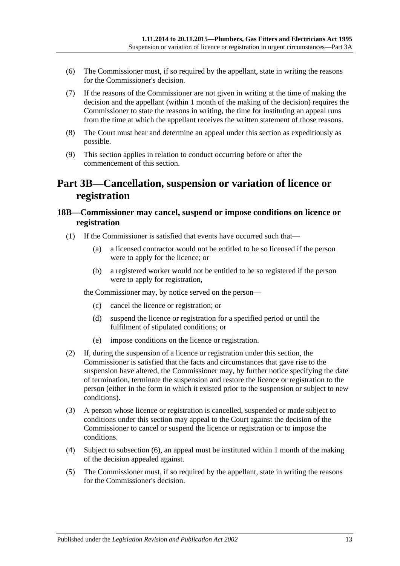- (6) The Commissioner must, if so required by the appellant, state in writing the reasons for the Commissioner's decision.
- <span id="page-12-2"></span>(7) If the reasons of the Commissioner are not given in writing at the time of making the decision and the appellant (within 1 month of the making of the decision) requires the Commissioner to state the reasons in writing, the time for instituting an appeal runs from the time at which the appellant receives the written statement of those reasons.
- (8) The Court must hear and determine an appeal under this section as expeditiously as possible.
- (9) This section applies in relation to conduct occurring before or after the commencement of this section.

# <span id="page-12-0"></span>**Part 3B—Cancellation, suspension or variation of licence or registration**

### <span id="page-12-1"></span>**18B—Commissioner may cancel, suspend or impose conditions on licence or registration**

- (1) If the Commissioner is satisfied that events have occurred such that—
	- (a) a licensed contractor would not be entitled to be so licensed if the person were to apply for the licence; or
	- (b) a registered worker would not be entitled to be so registered if the person were to apply for registration,

the Commissioner may, by notice served on the person—

- (c) cancel the licence or registration; or
- (d) suspend the licence or registration for a specified period or until the fulfilment of stipulated conditions; or
- (e) impose conditions on the licence or registration.
- (2) If, during the suspension of a licence or registration under this section, the Commissioner is satisfied that the facts and circumstances that gave rise to the suspension have altered, the Commissioner may, by further notice specifying the date of termination, terminate the suspension and restore the licence or registration to the person (either in the form in which it existed prior to the suspension or subject to new conditions).
- (3) A person whose licence or registration is cancelled, suspended or made subject to conditions under this section may appeal to the Court against the decision of the Commissioner to cancel or suspend the licence or registration or to impose the conditions.
- (4) Subject to [subsection](#page-13-3) (6), an appeal must be instituted within 1 month of the making of the decision appealed against.
- (5) The Commissioner must, if so required by the appellant, state in writing the reasons for the Commissioner's decision.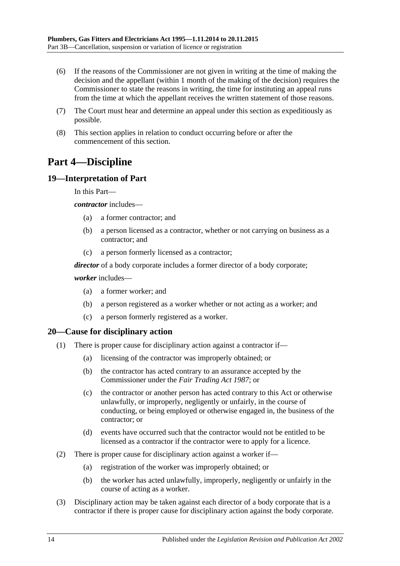- <span id="page-13-3"></span>(6) If the reasons of the Commissioner are not given in writing at the time of making the decision and the appellant (within 1 month of the making of the decision) requires the Commissioner to state the reasons in writing, the time for instituting an appeal runs from the time at which the appellant receives the written statement of those reasons.
- (7) The Court must hear and determine an appeal under this section as expeditiously as possible.
- (8) This section applies in relation to conduct occurring before or after the commencement of this section.

# <span id="page-13-0"></span>**Part 4—Discipline**

#### <span id="page-13-1"></span>**19—Interpretation of Part**

In this Part—

*contractor* includes—

- (a) a former contractor; and
- (b) a person licensed as a contractor, whether or not carrying on business as a contractor; and
- (c) a person formerly licensed as a contractor;

*director* of a body corporate includes a former director of a body corporate;

#### *worker* includes—

- (a) a former worker; and
- (b) a person registered as a worker whether or not acting as a worker; and
- (c) a person formerly registered as a worker.

#### <span id="page-13-2"></span>**20—Cause for disciplinary action**

- (1) There is proper cause for disciplinary action against a contractor if—
	- (a) licensing of the contractor was improperly obtained; or
	- (b) the contractor has acted contrary to an assurance accepted by the Commissioner under the *[Fair Trading Act](http://www.legislation.sa.gov.au/index.aspx?action=legref&type=act&legtitle=Fair%20Trading%20Act%201987) 1987*; or
	- (c) the contractor or another person has acted contrary to this Act or otherwise unlawfully, or improperly, negligently or unfairly, in the course of conducting, or being employed or otherwise engaged in, the business of the contractor; or
	- (d) events have occurred such that the contractor would not be entitled to be licensed as a contractor if the contractor were to apply for a licence.
- (2) There is proper cause for disciplinary action against a worker if—
	- (a) registration of the worker was improperly obtained; or
	- (b) the worker has acted unlawfully, improperly, negligently or unfairly in the course of acting as a worker.
- (3) Disciplinary action may be taken against each director of a body corporate that is a contractor if there is proper cause for disciplinary action against the body corporate.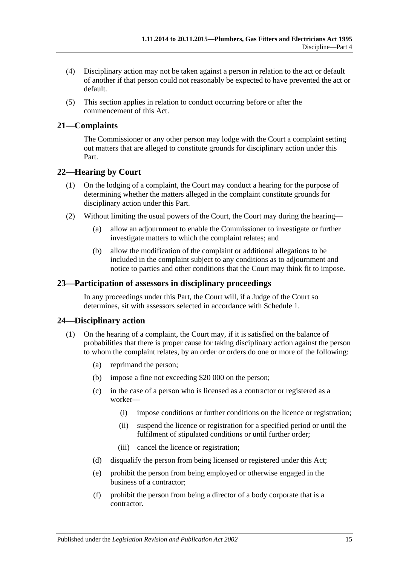- (4) Disciplinary action may not be taken against a person in relation to the act or default of another if that person could not reasonably be expected to have prevented the act or default.
- (5) This section applies in relation to conduct occurring before or after the commencement of this Act.

### <span id="page-14-0"></span>**21—Complaints**

The Commissioner or any other person may lodge with the Court a complaint setting out matters that are alleged to constitute grounds for disciplinary action under this Part.

### <span id="page-14-1"></span>**22—Hearing by Court**

- (1) On the lodging of a complaint, the Court may conduct a hearing for the purpose of determining whether the matters alleged in the complaint constitute grounds for disciplinary action under this Part.
- (2) Without limiting the usual powers of the Court, the Court may during the hearing—
	- (a) allow an adjournment to enable the Commissioner to investigate or further investigate matters to which the complaint relates; and
	- (b) allow the modification of the complaint or additional allegations to be included in the complaint subject to any conditions as to adjournment and notice to parties and other conditions that the Court may think fit to impose.

#### <span id="page-14-2"></span>**23—Participation of assessors in disciplinary proceedings**

In any proceedings under this Part, the Court will, if a Judge of the Court so determines, sit with assessors selected in accordance with [Schedule 1.](#page-20-1)

#### <span id="page-14-3"></span>**24—Disciplinary action**

- (1) On the hearing of a complaint, the Court may, if it is satisfied on the balance of probabilities that there is proper cause for taking disciplinary action against the person to whom the complaint relates, by an order or orders do one or more of the following:
	- (a) reprimand the person;
	- (b) impose a fine not exceeding \$20 000 on the person;
	- (c) in the case of a person who is licensed as a contractor or registered as a worker—
		- (i) impose conditions or further conditions on the licence or registration;
		- (ii) suspend the licence or registration for a specified period or until the fulfilment of stipulated conditions or until further order;
		- (iii) cancel the licence or registration;
	- (d) disqualify the person from being licensed or registered under this Act;
	- (e) prohibit the person from being employed or otherwise engaged in the business of a contractor;
	- (f) prohibit the person from being a director of a body corporate that is a contractor.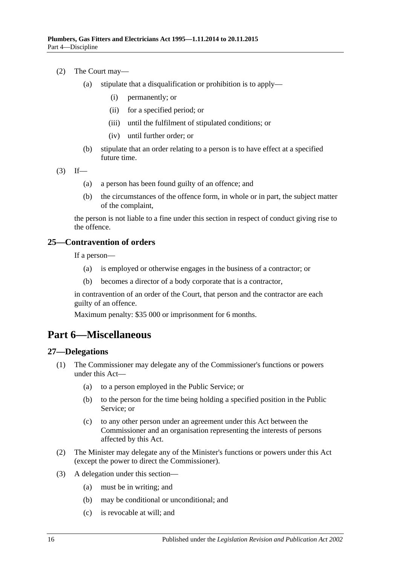- (2) The Court may—
	- (a) stipulate that a disqualification or prohibition is to apply—
		- (i) permanently; or
		- (ii) for a specified period; or
		- (iii) until the fulfilment of stipulated conditions; or
		- (iv) until further order; or
	- (b) stipulate that an order relating to a person is to have effect at a specified future time.

 $(3)$  If—

- (a) a person has been found guilty of an offence; and
- (b) the circumstances of the offence form, in whole or in part, the subject matter of the complaint,

the person is not liable to a fine under this section in respect of conduct giving rise to the offence.

#### <span id="page-15-0"></span>**25—Contravention of orders**

If a person—

- (a) is employed or otherwise engages in the business of a contractor; or
- (b) becomes a director of a body corporate that is a contractor,

in contravention of an order of the Court, that person and the contractor are each guilty of an offence.

Maximum penalty: \$35 000 or imprisonment for 6 months.

# <span id="page-15-1"></span>**Part 6—Miscellaneous**

#### <span id="page-15-2"></span>**27—Delegations**

- (1) The Commissioner may delegate any of the Commissioner's functions or powers under this Act—
	- (a) to a person employed in the Public Service; or
	- (b) to the person for the time being holding a specified position in the Public Service; or
	- (c) to any other person under an agreement under this Act between the Commissioner and an organisation representing the interests of persons affected by this Act.
- (2) The Minister may delegate any of the Minister's functions or powers under this Act (except the power to direct the Commissioner).
- (3) A delegation under this section—
	- (a) must be in writing; and
	- (b) may be conditional or unconditional; and
	- (c) is revocable at will; and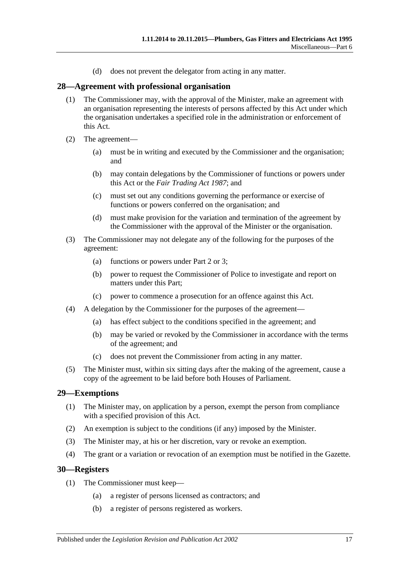(d) does not prevent the delegator from acting in any matter.

#### <span id="page-16-0"></span>**28—Agreement with professional organisation**

- (1) The Commissioner may, with the approval of the Minister, make an agreement with an organisation representing the interests of persons affected by this Act under which the organisation undertakes a specified role in the administration or enforcement of this Act.
- (2) The agreement—
	- (a) must be in writing and executed by the Commissioner and the organisation; and
	- (b) may contain delegations by the Commissioner of functions or powers under this Act or the *[Fair Trading Act](http://www.legislation.sa.gov.au/index.aspx?action=legref&type=act&legtitle=Fair%20Trading%20Act%201987) 1987*; and
	- (c) must set out any conditions governing the performance or exercise of functions or powers conferred on the organisation; and
	- (d) must make provision for the variation and termination of the agreement by the Commissioner with the approval of the Minister or the organisation.
- (3) The Commissioner may not delegate any of the following for the purposes of the agreement:
	- (a) functions or powers under [Part 2](#page-3-2) or [3;](#page-8-1)
	- (b) power to request the Commissioner of Police to investigate and report on matters under this Part;
	- (c) power to commence a prosecution for an offence against this Act.
- (4) A delegation by the Commissioner for the purposes of the agreement—
	- (a) has effect subject to the conditions specified in the agreement; and
	- (b) may be varied or revoked by the Commissioner in accordance with the terms of the agreement; and
	- (c) does not prevent the Commissioner from acting in any matter.
- (5) The Minister must, within six sitting days after the making of the agreement, cause a copy of the agreement to be laid before both Houses of Parliament.

#### <span id="page-16-1"></span>**29—Exemptions**

- (1) The Minister may, on application by a person, exempt the person from compliance with a specified provision of this Act.
- (2) An exemption is subject to the conditions (if any) imposed by the Minister.
- (3) The Minister may, at his or her discretion, vary or revoke an exemption.
- (4) The grant or a variation or revocation of an exemption must be notified in the Gazette.

#### <span id="page-16-2"></span>**30—Registers**

- (1) The Commissioner must keep—
	- (a) a register of persons licensed as contractors; and
	- (b) a register of persons registered as workers.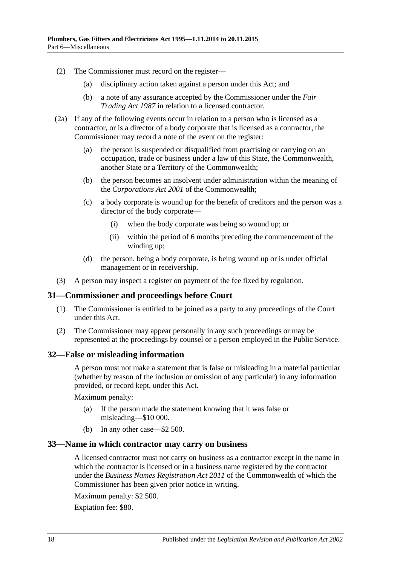- (2) The Commissioner must record on the register—
	- (a) disciplinary action taken against a person under this Act; and
	- (b) a note of any assurance accepted by the Commissioner under the *[Fair](http://www.legislation.sa.gov.au/index.aspx?action=legref&type=act&legtitle=Fair%20Trading%20Act%201987)  [Trading Act](http://www.legislation.sa.gov.au/index.aspx?action=legref&type=act&legtitle=Fair%20Trading%20Act%201987) 1987* in relation to a licensed contractor.
- (2a) If any of the following events occur in relation to a person who is licensed as a contractor, or is a director of a body corporate that is licensed as a contractor, the Commissioner may record a note of the event on the register:
	- (a) the person is suspended or disqualified from practising or carrying on an occupation, trade or business under a law of this State, the Commonwealth, another State or a Territory of the Commonwealth;
	- (b) the person becomes an insolvent under administration within the meaning of the *Corporations Act 2001* of the Commonwealth;
	- (c) a body corporate is wound up for the benefit of creditors and the person was a director of the body corporate—
		- (i) when the body corporate was being so wound up; or
		- (ii) within the period of 6 months preceding the commencement of the winding up;
	- (d) the person, being a body corporate, is being wound up or is under official management or in receivership.
- (3) A person may inspect a register on payment of the fee fixed by regulation.

#### <span id="page-17-0"></span>**31—Commissioner and proceedings before Court**

- (1) The Commissioner is entitled to be joined as a party to any proceedings of the Court under this Act.
- (2) The Commissioner may appear personally in any such proceedings or may be represented at the proceedings by counsel or a person employed in the Public Service.

#### <span id="page-17-1"></span>**32—False or misleading information**

A person must not make a statement that is false or misleading in a material particular (whether by reason of the inclusion or omission of any particular) in any information provided, or record kept, under this Act.

Maximum penalty:

- (a) If the person made the statement knowing that it was false or misleading—\$10 000.
- (b) In any other case—\$2 500.

#### <span id="page-17-2"></span>**33—Name in which contractor may carry on business**

A licensed contractor must not carry on business as a contractor except in the name in which the contractor is licensed or in a business name registered by the contractor under the *Business Names Registration Act 2011* of the Commonwealth of which the Commissioner has been given prior notice in writing.

Maximum penalty: \$2 500.

Expiation fee: \$80.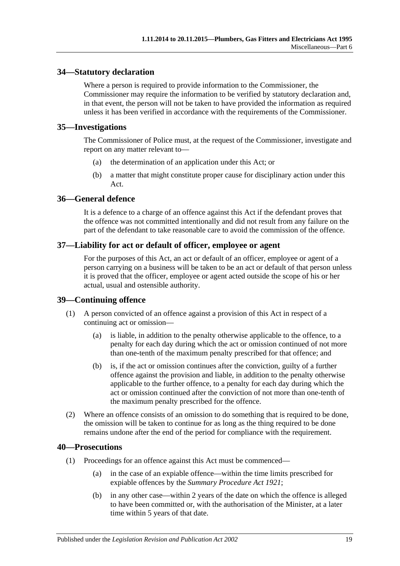### <span id="page-18-0"></span>**34—Statutory declaration**

Where a person is required to provide information to the Commissioner, the Commissioner may require the information to be verified by statutory declaration and, in that event, the person will not be taken to have provided the information as required unless it has been verified in accordance with the requirements of the Commissioner.

#### <span id="page-18-1"></span>**35—Investigations**

The Commissioner of Police must, at the request of the Commissioner, investigate and report on any matter relevant to—

- (a) the determination of an application under this Act; or
- (b) a matter that might constitute proper cause for disciplinary action under this Act.

### <span id="page-18-2"></span>**36—General defence**

It is a defence to a charge of an offence against this Act if the defendant proves that the offence was not committed intentionally and did not result from any failure on the part of the defendant to take reasonable care to avoid the commission of the offence.

### <span id="page-18-3"></span>**37—Liability for act or default of officer, employee or agent**

For the purposes of this Act, an act or default of an officer, employee or agent of a person carrying on a business will be taken to be an act or default of that person unless it is proved that the officer, employee or agent acted outside the scope of his or her actual, usual and ostensible authority.

#### <span id="page-18-4"></span>**39—Continuing offence**

- (1) A person convicted of an offence against a provision of this Act in respect of a continuing act or omission—
	- (a) is liable, in addition to the penalty otherwise applicable to the offence, to a penalty for each day during which the act or omission continued of not more than one-tenth of the maximum penalty prescribed for that offence; and
	- (b) is, if the act or omission continues after the conviction, guilty of a further offence against the provision and liable, in addition to the penalty otherwise applicable to the further offence, to a penalty for each day during which the act or omission continued after the conviction of not more than one-tenth of the maximum penalty prescribed for the offence.
- (2) Where an offence consists of an omission to do something that is required to be done, the omission will be taken to continue for as long as the thing required to be done remains undone after the end of the period for compliance with the requirement.

#### <span id="page-18-5"></span>**40—Prosecutions**

- (1) Proceedings for an offence against this Act must be commenced—
	- (a) in the case of an expiable offence—within the time limits prescribed for expiable offences by the *[Summary Procedure Act](http://www.legislation.sa.gov.au/index.aspx?action=legref&type=act&legtitle=Summary%20Procedure%20Act%201921) 1921*;
	- (b) in any other case—within 2 years of the date on which the offence is alleged to have been committed or, with the authorisation of the Minister, at a later time within 5 years of that date.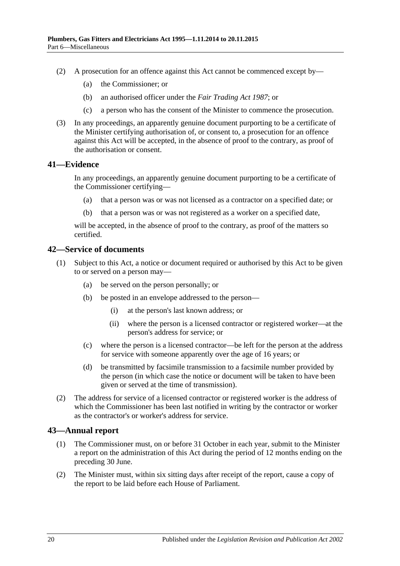- (2) A prosecution for an offence against this Act cannot be commenced except by—
	- (a) the Commissioner; or
	- (b) an authorised officer under the *[Fair Trading Act](http://www.legislation.sa.gov.au/index.aspx?action=legref&type=act&legtitle=Fair%20Trading%20Act%201987) 1987*; or
	- (c) a person who has the consent of the Minister to commence the prosecution.
- (3) In any proceedings, an apparently genuine document purporting to be a certificate of the Minister certifying authorisation of, or consent to, a prosecution for an offence against this Act will be accepted, in the absence of proof to the contrary, as proof of the authorisation or consent.

#### <span id="page-19-0"></span>**41—Evidence**

In any proceedings, an apparently genuine document purporting to be a certificate of the Commissioner certifying—

- (a) that a person was or was not licensed as a contractor on a specified date; or
- (b) that a person was or was not registered as a worker on a specified date,

will be accepted, in the absence of proof to the contrary, as proof of the matters so certified.

#### <span id="page-19-1"></span>**42—Service of documents**

- (1) Subject to this Act, a notice or document required or authorised by this Act to be given to or served on a person may—
	- (a) be served on the person personally; or
	- (b) be posted in an envelope addressed to the person—
		- (i) at the person's last known address; or
		- (ii) where the person is a licensed contractor or registered worker—at the person's address for service; or
	- (c) where the person is a licensed contractor—be left for the person at the address for service with someone apparently over the age of 16 years; or
	- (d) be transmitted by facsimile transmission to a facsimile number provided by the person (in which case the notice or document will be taken to have been given or served at the time of transmission).
- (2) The address for service of a licensed contractor or registered worker is the address of which the Commissioner has been last notified in writing by the contractor or worker as the contractor's or worker's address for service.

#### <span id="page-19-2"></span>**43—Annual report**

- (1) The Commissioner must, on or before 31 October in each year, submit to the Minister a report on the administration of this Act during the period of 12 months ending on the preceding 30 June.
- (2) The Minister must, within six sitting days after receipt of the report, cause a copy of the report to be laid before each House of Parliament.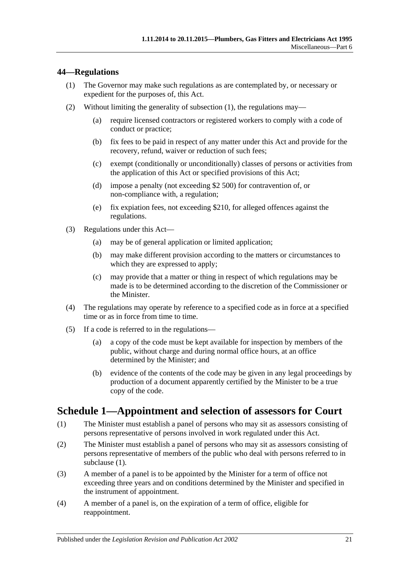### <span id="page-20-2"></span><span id="page-20-0"></span>**44—Regulations**

- (1) The Governor may make such regulations as are contemplated by, or necessary or expedient for the purposes of, this Act.
- (2) Without limiting the generality of [subsection](#page-20-2) (1), the regulations may—
	- (a) require licensed contractors or registered workers to comply with a code of conduct or practice;
	- (b) fix fees to be paid in respect of any matter under this Act and provide for the recovery, refund, waiver or reduction of such fees;
	- (c) exempt (conditionally or unconditionally) classes of persons or activities from the application of this Act or specified provisions of this Act;
	- (d) impose a penalty (not exceeding \$2 500) for contravention of, or non-compliance with, a regulation;
	- (e) fix expiation fees, not exceeding \$210, for alleged offences against the regulations.
- (3) Regulations under this Act—
	- (a) may be of general application or limited application;
	- (b) may make different provision according to the matters or circumstances to which they are expressed to apply;
	- (c) may provide that a matter or thing in respect of which regulations may be made is to be determined according to the discretion of the Commissioner or the Minister.
- (4) The regulations may operate by reference to a specified code as in force at a specified time or as in force from time to time.
- (5) If a code is referred to in the regulations—
	- (a) a copy of the code must be kept available for inspection by members of the public, without charge and during normal office hours, at an office determined by the Minister; and
	- (b) evidence of the contents of the code may be given in any legal proceedings by production of a document apparently certified by the Minister to be a true copy of the code.

# <span id="page-20-1"></span>**Schedule 1—Appointment and selection of assessors for Court**

- <span id="page-20-3"></span>(1) The Minister must establish a panel of persons who may sit as assessors consisting of persons representative of persons involved in work regulated under this Act.
- (2) The Minister must establish a panel of persons who may sit as assessors consisting of persons representative of members of the public who deal with persons referred to in [subclause](#page-20-3) (1).
- (3) A member of a panel is to be appointed by the Minister for a term of office not exceeding three years and on conditions determined by the Minister and specified in the instrument of appointment.
- (4) A member of a panel is, on the expiration of a term of office, eligible for reappointment.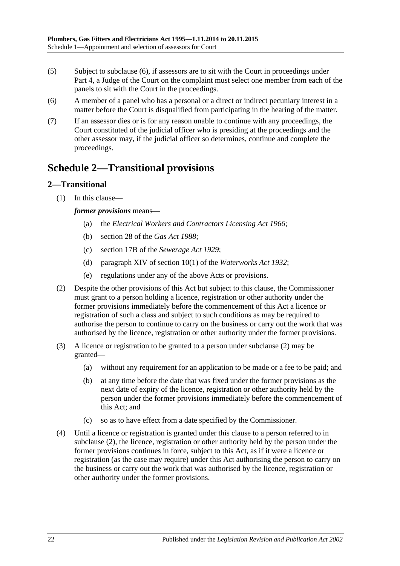- (5) Subject to [subclause](#page-21-2) (6), if assessors are to sit with the Court in proceedings under [Part](#page-13-0) 4, a Judge of the Court on the complaint must select one member from each of the panels to sit with the Court in the proceedings.
- <span id="page-21-2"></span>(6) A member of a panel who has a personal or a direct or indirect pecuniary interest in a matter before the Court is disqualified from participating in the hearing of the matter.
- (7) If an assessor dies or is for any reason unable to continue with any proceedings, the Court constituted of the judicial officer who is presiding at the proceedings and the other assessor may, if the judicial officer so determines, continue and complete the proceedings.

# <span id="page-21-0"></span>**Schedule 2—Transitional provisions**

# <span id="page-21-1"></span>**2—Transitional**

(1) In this clause—

*former provisions* means—

- (a) the *[Electrical Workers and Contractors Licensing Act](http://www.legislation.sa.gov.au/index.aspx?action=legref&type=act&legtitle=Electrical%20Workers%20and%20Contractors%20Licensing%20Act%201966) 1966*;
- (b) section 28 of the *[Gas Act](http://www.legislation.sa.gov.au/index.aspx?action=legref&type=act&legtitle=Gas%20Act%201988) 1988*;
- (c) section 17B of the *[Sewerage Act](http://www.legislation.sa.gov.au/index.aspx?action=legref&type=act&legtitle=Sewerage%20Act%201929) 1929*;
- (d) paragraph XIV of section 10(1) of the *[Waterworks Act](http://www.legislation.sa.gov.au/index.aspx?action=legref&type=act&legtitle=Waterworks%20Act%201932) 1932*;
- (e) regulations under any of the above Acts or provisions.
- <span id="page-21-3"></span>(2) Despite the other provisions of this Act but subject to this clause, the Commissioner must grant to a person holding a licence, registration or other authority under the former provisions immediately before the commencement of this Act a licence or registration of such a class and subject to such conditions as may be required to authorise the person to continue to carry on the business or carry out the work that was authorised by the licence, registration or other authority under the former provisions.
- (3) A licence or registration to be granted to a person under [subclause](#page-21-3) (2) may be granted—
	- (a) without any requirement for an application to be made or a fee to be paid; and
	- (b) at any time before the date that was fixed under the former provisions as the next date of expiry of the licence, registration or other authority held by the person under the former provisions immediately before the commencement of this Act; and
	- (c) so as to have effect from a date specified by the Commissioner.
- (4) Until a licence or registration is granted under this clause to a person referred to in [subclause](#page-21-3) (2), the licence, registration or other authority held by the person under the former provisions continues in force, subject to this Act, as if it were a licence or registration (as the case may require) under this Act authorising the person to carry on the business or carry out the work that was authorised by the licence, registration or other authority under the former provisions.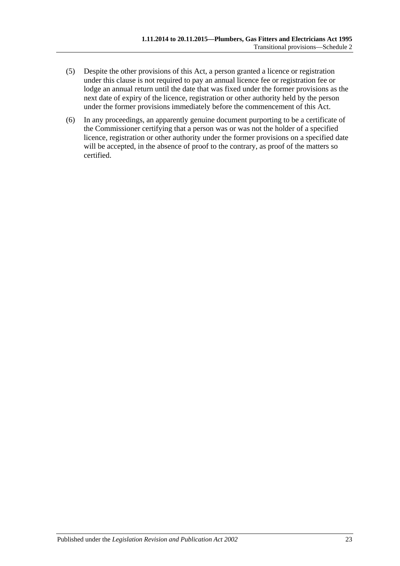- (5) Despite the other provisions of this Act, a person granted a licence or registration under this clause is not required to pay an annual licence fee or registration fee or lodge an annual return until the date that was fixed under the former provisions as the next date of expiry of the licence, registration or other authority held by the person under the former provisions immediately before the commencement of this Act.
- (6) In any proceedings, an apparently genuine document purporting to be a certificate of the Commissioner certifying that a person was or was not the holder of a specified licence, registration or other authority under the former provisions on a specified date will be accepted, in the absence of proof to the contrary, as proof of the matters so certified.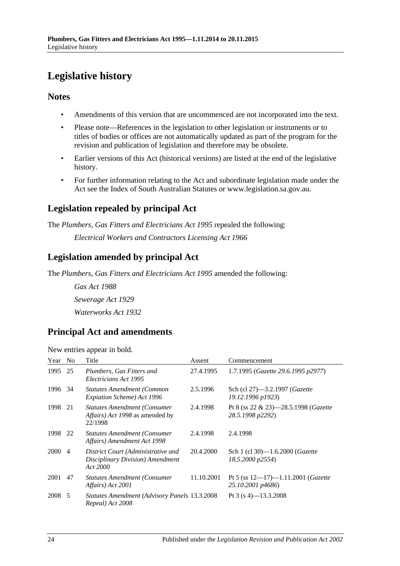# <span id="page-23-0"></span>**Legislative history**

# **Notes**

- Amendments of this version that are uncommenced are not incorporated into the text.
- Please note—References in the legislation to other legislation or instruments or to titles of bodies or offices are not automatically updated as part of the program for the revision and publication of legislation and therefore may be obsolete.
- Earlier versions of this Act (historical versions) are listed at the end of the legislative history.
- For further information relating to the Act and subordinate legislation made under the Act see the Index of South Australian Statutes or www.legislation.sa.gov.au.

# **Legislation repealed by principal Act**

The *Plumbers, Gas Fitters and Electricians Act 1995* repealed the following:

*Electrical Workers and Contractors Licensing Act 1966*

# **Legislation amended by principal Act**

The *Plumbers, Gas Fitters and Electricians Act 1995* amended the following:

*Gas Act 1988 Sewerage Act 1929 Waterworks Act 1932*

# **Principal Act and amendments**

New entries appear in bold.

| Year No |                | Title                                                                              | Assent     | Commencement                                                         |
|---------|----------------|------------------------------------------------------------------------------------|------------|----------------------------------------------------------------------|
| 1995 25 |                | Plumbers, Gas Fitters and<br>Electricians Act 1995                                 | 27.4.1995  | 1.7.1995 (Gazette 29.6.1995 p2977)                                   |
| 1996 34 |                | <b>Statutes Amendment (Common</b><br>Expiation Scheme) Act 1996                    | 2.5.1996   | Sch (cl 27)-3.2.1997 (Gazette<br>19.12.1996 p1923)                   |
| 1998    | 21             | <b>Statutes Amendment (Consumer</b><br>Affairs) Act 1998 as amended by<br>22/1998  | 2.4.1998   | Pt 8 (ss $22 \& 23$ )-28.5.1998 ( <i>Gazette</i><br>28.5.1998 p2292) |
| 1998 22 |                | <b>Statutes Amendment (Consumer</b><br>Affairs) Amendment Act 1998                 | 2.4.1998   | 2.4.1998                                                             |
| 2000    | $\overline{4}$ | District Court (Administrative and<br>Disciplinary Division) Amendment<br>Act 2000 | 20.4.2000  | Sch 1 (cl 30)-1.6.2000 ( <i>Gazette</i><br>18.5.2000 p2554)          |
| 2001    | 47             | <b>Statutes Amendment (Consumer</b><br>Affairs) Act 2001                           | 11.10.2001 | Pt 5 (ss $12-17$ )-1.11.2001 ( <i>Gazette</i><br>25.10.2001 p4686)   |
| 2008 5  |                | <b>Statutes Amendment (Advisory Panels 13.3.2008</b><br>Repeal) Act 2008           |            | Pt 3 (s 4)–13.3.2008                                                 |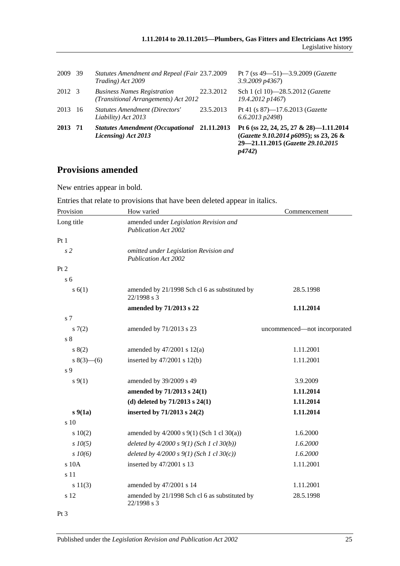| 2013 71 |    | <b>Statutes Amendment (Occupational 21.11.2013)</b><br>Licensing) Act 2013 |           | Pt 6 (ss 22, 24, 25, 27 & 28)-1.11.2014<br>(Gazette 9.10.2014 p6095); ss 23, 26 &<br>29-21.11.2015 (Gazette 29.10.2015<br>p4742) |
|---------|----|----------------------------------------------------------------------------|-----------|----------------------------------------------------------------------------------------------------------------------------------|
| 2013    | 16 | Statutes Amendment (Directors'<br>Liability) Act 2013                      | 23.5.2013 | Pt 41 (s 87)-17.6.2013 (Gazette<br>$6.6.2013$ $p2498$ )                                                                          |
| 2012 3  |    | <b>Business Names Registration</b><br>(Transitional Arrangements) Act 2012 | 22.3.2012 | Sch 1 (cl 10)-28.5.2012 ( <i>Gazette</i><br>19.4.2012 p1467)                                                                     |
| 2009 39 |    | Statutes Amendment and Repeal (Fair 23.7.2009<br>Trading) Act 2009         |           | Pt 7 (ss $49 - 51$ ) $-3.9.2009$ ( <i>Gazette</i><br>$3.9.2009$ $p4367$                                                          |

# **Provisions amended**

New entries appear in bold.

Entries that relate to provisions that have been deleted appear in italics.

| Provision       | How varied                                                            | Commencement                 |
|-----------------|-----------------------------------------------------------------------|------------------------------|
| Long title      | amended under Legislation Revision and<br><b>Publication Act 2002</b> |                              |
| Pt1             |                                                                       |                              |
| s <sub>2</sub>  | omitted under Legislation Revision and<br><b>Publication Act 2002</b> |                              |
| Pt 2            |                                                                       |                              |
| s <sub>6</sub>  |                                                                       |                              |
| s(6(1))         | amended by 21/1998 Sch cl 6 as substituted by<br>22/1998 s 3          | 28.5.1998                    |
|                 | amended by 71/2013 s 22                                               | 1.11.2014                    |
| s 7             |                                                                       |                              |
| s(7(2)          | amended by 71/2013 s 23                                               | uncommenced-not incorporated |
| s <sub>8</sub>  |                                                                       |                              |
| s(2)            | amended by $47/2001$ s $12(a)$                                        | 1.11.2001                    |
| $s(3)$ – (6)    | inserted by $47/2001$ s $12(b)$                                       | 1.11.2001                    |
| s 9             |                                                                       |                              |
| $s \, 9(1)$     | amended by 39/2009 s 49                                               | 3.9.2009                     |
|                 | amended by 71/2013 s 24(1)                                            | 1.11.2014                    |
|                 | (d) deleted by $71/2013$ s $24(1)$                                    | 1.11.2014                    |
| $s\,9(1a)$      | inserted by 71/2013 s 24(2)                                           | 1.11.2014                    |
| s <sub>10</sub> |                                                                       |                              |
| 10(2)           | amended by $4/2000$ s $9(1)$ (Sch 1 cl 30(a))                         | 1.6.2000                     |
| $s$ $10(5)$     | deleted by $4/2000 s 9(1)$ (Sch 1 cl 30(b))                           | 1.6.2000                     |
| $s$ 10(6)       | deleted by $4/2000 s 9(1)$ (Sch 1 cl 30(c))                           | 1.6.2000                     |
| s 10A           | inserted by 47/2001 s 13                                              | 1.11.2001                    |
| s 11            |                                                                       |                              |
| s 11(3)         | amended by 47/2001 s 14                                               | 1.11.2001                    |
| s 12            | amended by 21/1998 Sch cl 6 as substituted by<br>22/1998 s 3          | 28.5.1998                    |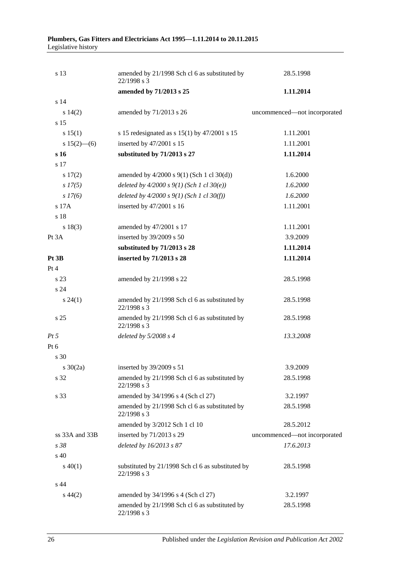| s 13            | amended by 21/1998 Sch cl 6 as substituted by<br>22/1998 s 3     | 28.5.1998                    |  |
|-----------------|------------------------------------------------------------------|------------------------------|--|
|                 | amended by 71/2013 s 25                                          | 1.11.2014                    |  |
| s 14            |                                                                  |                              |  |
| s 14(2)         | amended by 71/2013 s 26                                          | uncommenced—not incorporated |  |
| s 15            |                                                                  |                              |  |
| s 15(1)         | s 15 redesignated as s $15(1)$ by $47/2001$ s 15                 | 1.11.2001                    |  |
| s $15(2)$ —(6)  | inserted by 47/2001 s 15                                         | 1.11.2001                    |  |
| s 16            | substituted by 71/2013 s 27                                      | 1.11.2014                    |  |
| s 17            |                                                                  |                              |  |
| 17(2)           | amended by $4/2000$ s $9(1)$ (Sch 1 cl $30(d)$ )                 | 1.6.2000                     |  |
| $s\,17(5)$      | deleted by $4/2000 s 9(1)$ (Sch 1 cl 30(e))                      | 1.6.2000                     |  |
| s 17(6)         | deleted by $4/2000 s 9(1)$ (Sch 1 cl 30(f))                      | 1.6.2000                     |  |
| s 17A           | inserted by 47/2001 s 16                                         | 1.11.2001                    |  |
| s 18            |                                                                  |                              |  |
| s 18(3)         | amended by 47/2001 s 17                                          | 1.11.2001                    |  |
| Pt 3A           | inserted by 39/2009 s 50                                         | 3.9.2009                     |  |
|                 | substituted by 71/2013 s 28                                      | 1.11.2014                    |  |
| Pt 3B           | inserted by 71/2013 s 28                                         | 1.11.2014                    |  |
| Pt 4            |                                                                  |                              |  |
| s 23            | amended by 21/1998 s 22                                          | 28.5.1998                    |  |
| s 24            |                                                                  |                              |  |
| $s\,24(1)$      | amended by 21/1998 Sch cl 6 as substituted by<br>22/1998 s 3     | 28.5.1998                    |  |
| s <sub>25</sub> | amended by 21/1998 Sch cl 6 as substituted by<br>22/1998 s 3     | 28.5.1998                    |  |
| $Pt\,5$         | deleted by $5/2008 s 4$                                          | 13.3.2008                    |  |
| Pt 6            |                                                                  |                              |  |
| s 30            |                                                                  |                              |  |
| s $30(2a)$      | inserted by $39/2009$ s 51                                       | 3.9.2009                     |  |
| s 32            | amended by 21/1998 Sch cl 6 as substituted by<br>22/1998 s 3     | 28.5.1998                    |  |
| s 33            | amended by 34/1996 s 4 (Sch cl 27)                               | 3.2.1997                     |  |
|                 | amended by 21/1998 Sch cl 6 as substituted by<br>22/1998 s 3     | 28.5.1998                    |  |
|                 | amended by 3/2012 Sch 1 cl 10                                    | 28.5.2012                    |  |
| ss 33A and 33B  | inserted by 71/2013 s 29                                         | uncommenced-not incorporated |  |
| s 38            | deleted by 16/2013 s 87                                          | 17.6.2013                    |  |
| s 40            |                                                                  |                              |  |
| $s\ 40(1)$      | substituted by 21/1998 Sch cl 6 as substituted by<br>22/1998 s 3 | 28.5.1998                    |  |
| s 44            |                                                                  |                              |  |
| $s\,44(2)$      | amended by 34/1996 s 4 (Sch cl 27)                               | 3.2.1997                     |  |
|                 | amended by 21/1998 Sch cl 6 as substituted by<br>22/1998 s 3     | 28.5.1998                    |  |